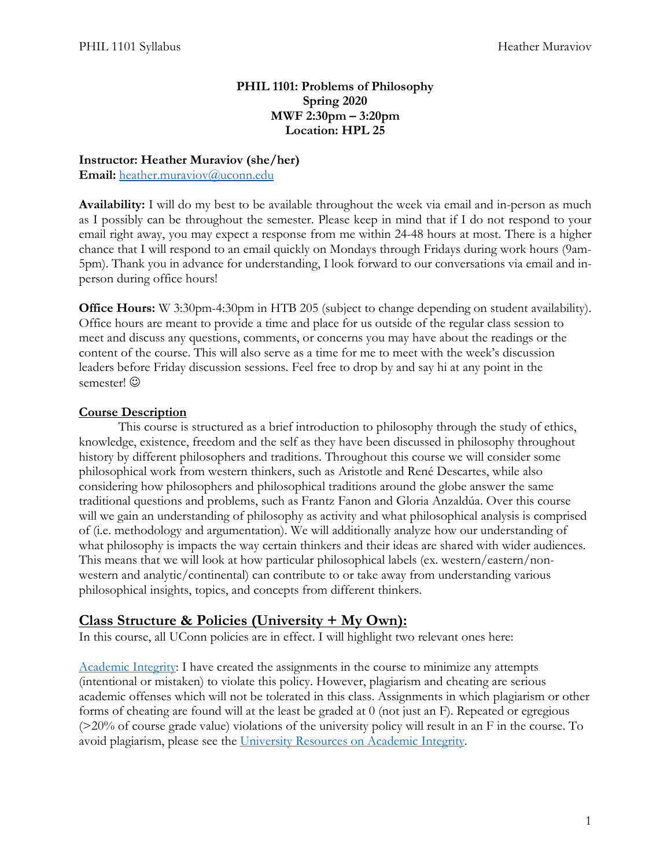#### **PHIL 1101: Problems of Philosophy Spring 2020 MWF 2:30pm – 3:20pm Location: HPL 25**

#### **Instructor: Heather Muraviov (she/her)**

Email: [heather.muraviov@uconn.edu](mailto:heather.muraviov@uconn.edu)

**Availability:** I will do my best to be available throughout the week via email and in-person as much as I possibly can be throughout the semester. Please keep in mind that if I do not respond to your email right away, you may expect a response from me within 24-48 hours at most. There is a higher chance that I will respond to an email quickly on Mondays through Fridays during work hours (9am-5pm). Thank you in advance for understanding, I look forward to our conversations via email and inperson during office hours!

**Office Hours:** W 3:30pm-4:30pm in HTB 205 (subject to change depending on student availability). Office hours are meant to provide a time and place for us outside of the regular class session to meet and discuss any questions, comments, or concerns you may have about the readings or the content of the course. This will also serve as a time for me to meet with the week's discussion leaders before Friday discussion sessions. Feel free to drop by and say hi at any point in the semester!  $\odot$ 

#### **Course Description**

This course is structured as a brief introduction to philosophy through the study of ethics, knowledge, existence, freedom and the self as they have been discussed in philosophy throughout history by different philosophers and traditions. Throughout this course we will consider some philosophical work from western thinkers, such as Aristotle and René Descartes, while also considering how philosophers and philosophical traditions around the globe answer the same traditional questions and problems, such as Frantz Fanon and Gloria Anzaldúa. Over this course will we gain an understanding of philosophy as activity and what philosophical analysis is comprised of (i.e. methodology and argumentation). We will additionally analyze how our understanding of what philosophy is impacts the way certain thinkers and their ideas are shared with wider audiences. This means that we will look at how particular philosophical labels (ex. western/eastern/nonwestern and analytic/continental) can contribute to or take away from understanding various philosophical insights, topics, and concepts from different thinkers.

#### **Class Structure & Policies (University + My Own):**

In this course, all UConn policies are in effect. I will highlight two relevant ones here:

[Academic Integrity:](https://community.uconn.edu/the-student-code-appendix-a/) I have created the assignments in the course to minimize any attempts (intentional or mistaken) to violate this policy. However, plagiarism and cheating are serious academic offenses which will not be tolerated in this class. Assignments in which plagiarism or other forms of cheating are found will at the least be graded at 0 (not just an F). Repeated or egregious (>20% of course grade value) violations of the university policy will result in an F in the course. To avoid plagiarism, please see the [University Resources on Academic Integrity.](https://cetl.uconn.edu/academic-dishonesty-and-plagiarism/)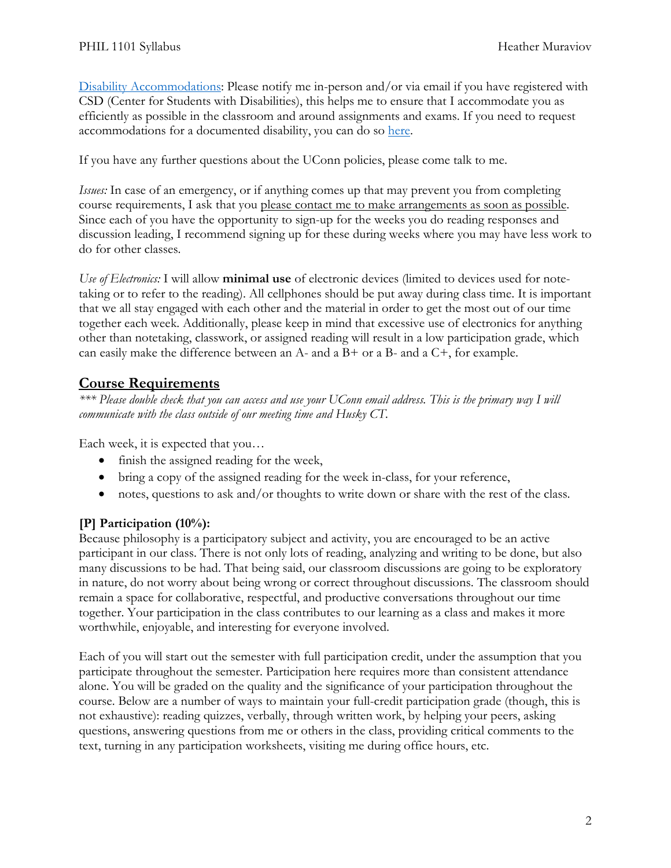[Disability Accommodations:](https://csd.uconn.edu/teaching-students-with-disabilities/) Please notify me in-person and/or via email if you have registered with CSD (Center for Students with Disabilities), this helps me to ensure that I accommodate you as efficiently as possible in the classroom and around assignments and exams. If you need to request accommodations for a documented disability, you can do so [here.](https://csd.uconn.edu/request-accommodations/)

If you have any further questions about the UConn policies, please come talk to me.

*Issues:* In case of an emergency, or if anything comes up that may prevent you from completing course requirements, I ask that you please contact me to make arrangements as soon as possible. Since each of you have the opportunity to sign-up for the weeks you do reading responses and discussion leading, I recommend signing up for these during weeks where you may have less work to do for other classes.

*Use of Electronics:* I will allow **minimal use** of electronic devices (limited to devices used for notetaking or to refer to the reading). All cellphones should be put away during class time. It is important that we all stay engaged with each other and the material in order to get the most out of our time together each week. Additionally, please keep in mind that excessive use of electronics for anything other than notetaking, classwork, or assigned reading will result in a low participation grade, which can easily make the difference between an  $A$ - and a  $B$ + or a  $B$ - and a  $C$ +, for example.

# **Course Requirements**

*\*\*\* Please double check that you can access and use your UConn email address. This is the primary way I will communicate with the class outside of our meeting time and Husky CT.* 

Each week, it is expected that you…

- finish the assigned reading for the week,
- bring a copy of the assigned reading for the week in-class, for your reference,
- notes, questions to ask and/or thoughts to write down or share with the rest of the class.

#### **[P] Participation (10%):**

Because philosophy is a participatory subject and activity, you are encouraged to be an active participant in our class. There is not only lots of reading, analyzing and writing to be done, but also many discussions to be had. That being said, our classroom discussions are going to be exploratory in nature, do not worry about being wrong or correct throughout discussions. The classroom should remain a space for collaborative, respectful, and productive conversations throughout our time together. Your participation in the class contributes to our learning as a class and makes it more worthwhile, enjoyable, and interesting for everyone involved.

Each of you will start out the semester with full participation credit, under the assumption that you participate throughout the semester. Participation here requires more than consistent attendance alone. You will be graded on the quality and the significance of your participation throughout the course. Below are a number of ways to maintain your full-credit participation grade (though, this is not exhaustive): reading quizzes, verbally, through written work, by helping your peers, asking questions, answering questions from me or others in the class, providing critical comments to the text, turning in any participation worksheets, visiting me during office hours, etc.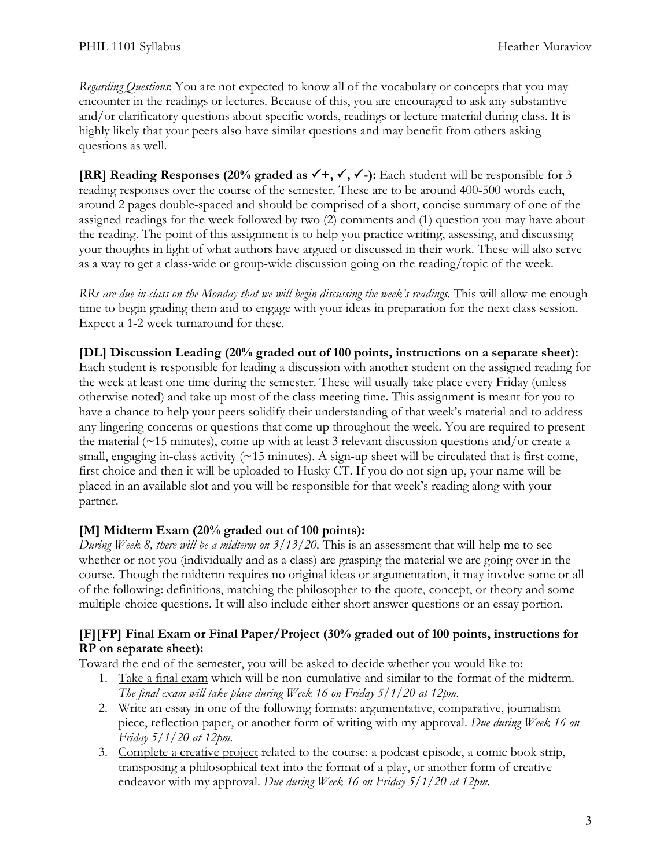*Regarding Questions*: You are not expected to know all of the vocabulary or concepts that you may encounter in the readings or lectures. Because of this, you are encouraged to ask any substantive and/or clarificatory questions about specific words, readings or lecture material during class. It is highly likely that your peers also have similar questions and may benefit from others asking questions as well.

**[RR] Reading Responses (20% graded as**  $\checkmark$  **+,**  $\checkmark$ **,**  $\checkmark$  **-): Each student will be responsible for 3** reading responses over the course of the semester. These are to be around 400-500 words each, around 2 pages double-spaced and should be comprised of a short, concise summary of one of the assigned readings for the week followed by two (2) comments and (1) question you may have about the reading. The point of this assignment is to help you practice writing, assessing, and discussing your thoughts in light of what authors have argued or discussed in their work. These will also serve as a way to get a class-wide or group-wide discussion going on the reading/topic of the week.

*RRs are due in-class on the Monday that we will begin discussing the week's readings.* This will allow me enough time to begin grading them and to engage with your ideas in preparation for the next class session. Expect a 1-2 week turnaround for these.

**[DL] Discussion Leading (20% graded out of 100 points, instructions on a separate sheet):** Each student is responsible for leading a discussion with another student on the assigned reading for the week at least one time during the semester. These will usually take place every Friday (unless otherwise noted) and take up most of the class meeting time. This assignment is meant for you to have a chance to help your peers solidify their understanding of that week's material and to address any lingering concerns or questions that come up throughout the week. You are required to present the material ( $\approx$ 15 minutes), come up with at least 3 relevant discussion questions and/or create a small, engaging in-class activity  $($   $\sim$  15 minutes). A sign-up sheet will be circulated that is first come, first choice and then it will be uploaded to Husky CT. If you do not sign up, your name will be placed in an available slot and you will be responsible for that week's reading along with your partner.

## **[M] Midterm Exam (20% graded out of 100 points):**

*During Week 8, there will be a midterm on 3/13/20.* This is an assessment that will help me to see whether or not you (individually and as a class) are grasping the material we are going over in the course. Though the midterm requires no original ideas or argumentation, it may involve some or all of the following: definitions, matching the philosopher to the quote, concept, or theory and some multiple-choice questions. It will also include either short answer questions or an essay portion.

### **[F][FP] Final Exam or Final Paper/Project (30% graded out of 100 points, instructions for RP on separate sheet):**

Toward the end of the semester, you will be asked to decide whether you would like to:

- 1. Take a final exam which will be non-cumulative and similar to the format of the midterm. *The final exam will take place during Week 16 on Friday 5/1/20 at 12pm.*
- 2. Write an essay in one of the following formats: argumentative, comparative, journalism piece, reflection paper, or another form of writing with my approval. *Due during Week 16 on Friday 5/1/20 at 12pm.*
- 3. Complete a creative project related to the course: a podcast episode, a comic book strip, transposing a philosophical text into the format of a play, or another form of creative endeavor with my approval. *Due during Week 16 on Friday 5/1/20 at 12pm.*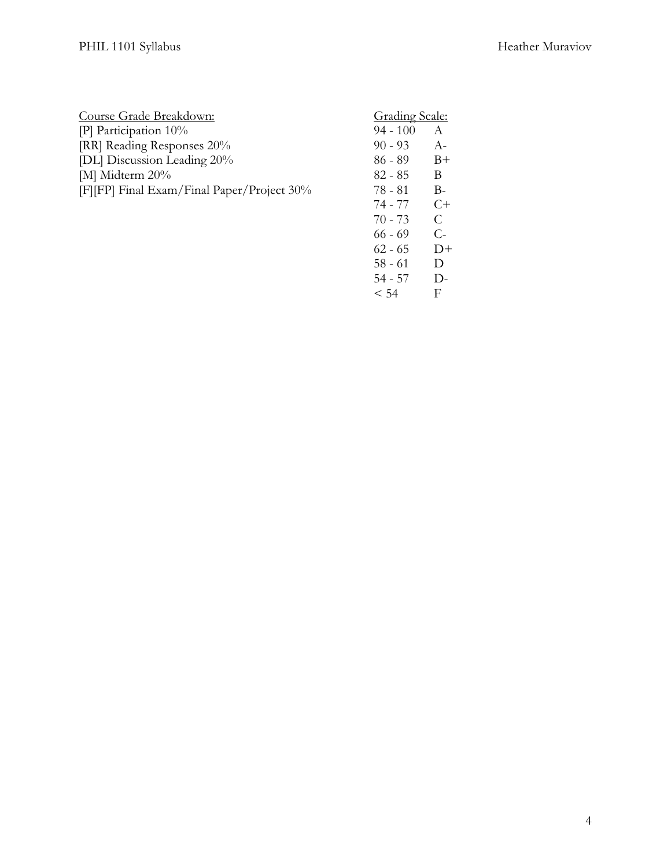| Course Grade Breakdown:                    | <b>Grading Scale:</b> |       |
|--------------------------------------------|-----------------------|-------|
| [P] Participation $10\%$                   | $94 - 100$            | A     |
| [RR] Reading Responses 20%                 | $90 - 93$             | $A -$ |
| [DL] Discussion Leading 20%                | $86 - 89$             | $B+$  |
| [M] Midterm 20%                            | $82 - 85$             | B     |
| [F][FP] Final Exam/Final Paper/Project 30% | 78 - 81               | $B -$ |
|                                            | 74 - 77               | $C+$  |
|                                            | $70 - 73$             | C     |
|                                            | $66 - 69$             | $C-$  |
|                                            | $62 - 65$             |       |

58 - 61 D<br>54 - 57 D- $54 - 57$  D-<br>  $< 54$  F  $< 54$ 

4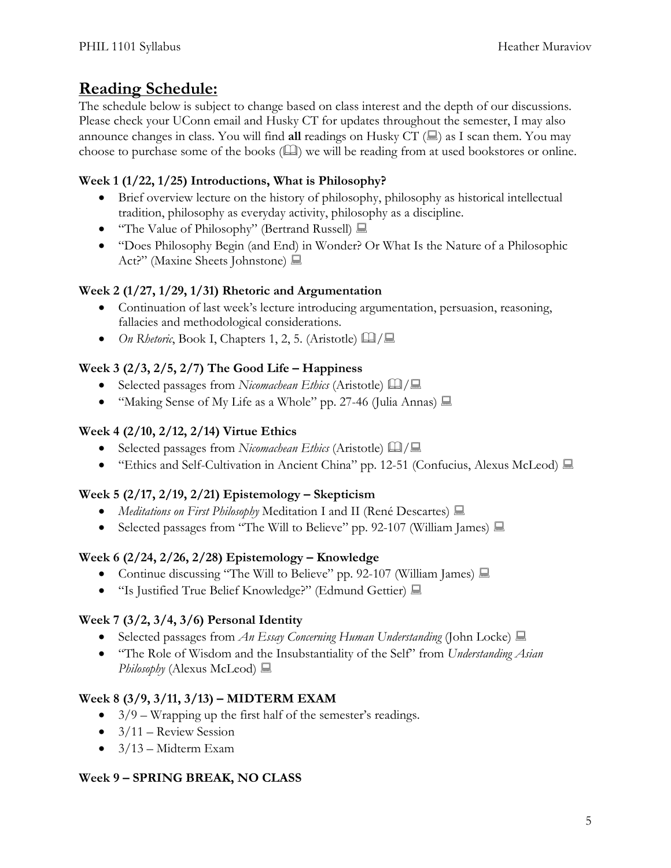# **Reading Schedule:**

The schedule below is subject to change based on class interest and the depth of our discussions. Please check your UConn email and Husky CT for updates throughout the semester, I may also announce changes in class. You will find **all** readings on Husky CT  $(\mathbb{R})$  as I scan them. You may choose to purchase some of the books  $(\Box)$  we will be reading from at used bookstores or online.

## **Week 1 (1/22, 1/25) Introductions, What is Philosophy?**

- Brief overview lecture on the history of philosophy, philosophy as historical intellectual tradition, philosophy as everyday activity, philosophy as a discipline.
- "The Value of Philosophy" (Bertrand Russell)
- "Does Philosophy Begin (and End) in Wonder? Or What Is the Nature of a Philosophic Act?" (Maxine Sheets Johnstone)  $\blacksquare$

## **Week 2 (1/27, 1/29, 1/31) Rhetoric and Argumentation**

- Continuation of last week's lecture introducing argumentation, persuasion, reasoning, fallacies and methodological considerations.
- *On Rhetoric*, Book I, Chapters 1, 2, 5. (Aristotle)  $\Box$

# **Week 3 (2/3, 2/5, 2/7) The Good Life – Happiness**

- Selected passages from *Nicomachean Ethics* (Aristotle)  $\Box$
- "Making Sense of My Life as a Whole" pp. 27-46 (Julia Annas)  $\Box$

## **Week 4 (2/10, 2/12, 2/14) Virtue Ethics**

- Selected passages from *Nicomachean Ethics* (Aristotle)  $\Box$
- "Ethics and Self-Cultivation in Ancient China" pp. 12-51 (Confucius, Alexus McLeod)  $\Box$

## **Week 5 (2/17, 2/19, 2/21) Epistemology – Skepticism**

- *Meditations on First Philosophy* Meditation I and II (René Descartes)  $\Box$
- Selected passages from "The Will to Believe" pp. 92-107 (William James)  $\Box$

## **Week 6 (2/24, 2/26, 2/28) Epistemology – Knowledge**

- Continue discussing "The Will to Believe" pp. 92-107 (William James)  $\Box$
- "Is Justified True Belief Knowledge?" (Edmund Gettier)  $\Box$

# **Week 7 (3/2, 3/4, 3/6) Personal Identity**

- Selected passages from *An Essay Concerning Human Understanding* (John Locke)  $\Box$
- "The Role of Wisdom and the Insubstantiality of the Self" from *Understanding Asian Philosophy* (Alexus McLeod)

## **Week 8 (3/9, 3/11, 3/13) – MIDTERM EXAM**

- $3/9$  Wrapping up the first half of the semester's readings.
- $\bullet$  3/11 Review Session
- $3/13$  Midterm Exam

## **Week 9 – SPRING BREAK, NO CLASS**